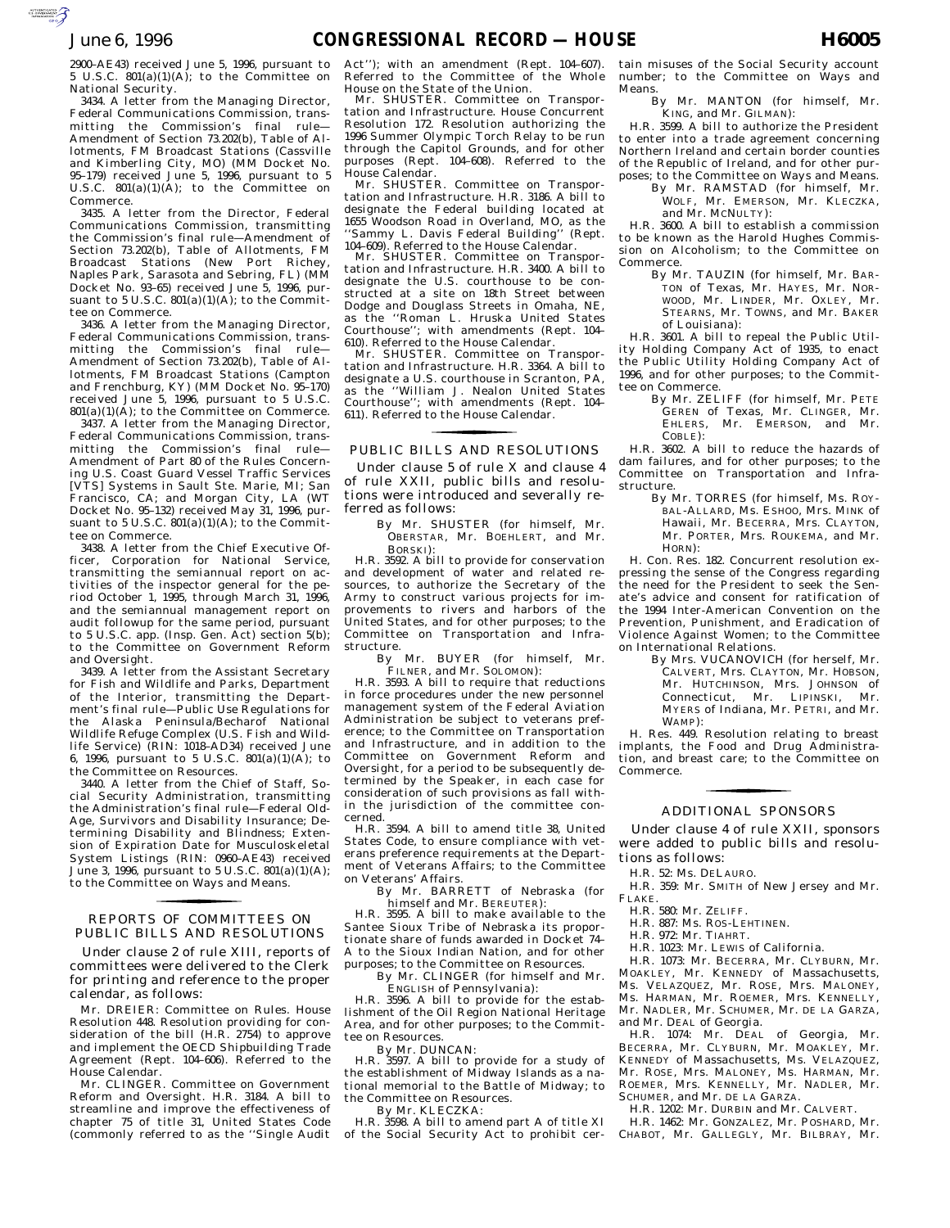2900–AE43) received June 5, 1996, pursuant to 5 U.S.C.  $801(a)(1)(A)$ ; to the Committee on National Security.

3434. A letter from the Managing Director, Federal Communications Commission, transmitting the Commission's final rule— Amendment of Section 73.202(b), Table of Allotments, FM Broadcast Stations (Cassville and Kimberling City, MO) (MM Docket No. 95–179) received June 5, 1996, pursuant to 5 U.S.C.  $801(a)(1)(A)$ ; to the Committee on Commerce.

3435. A letter from the Director, Federal Communications Commission, transmitting the Commission's final rule—Amendment of Section 73.202(b), Table of Allotments, FM Broadcast Stations (New Port Richey, Naples Park, Sarasota and Sebring, FL) (MM Docket No. 93–65) received June 5, 1996, pursuant to  $5 \text{ U.S.C. } 801(a)(1)(\text{A})$ ; to the Committee on Commerce.

3436. A letter from the Managing Director, Federal Communications Commission, transmitting the Commission's final rule— Amendment of Section 73.202(b), Table of Allotments, FM Broadcast Stations (Campton and Frenchburg, KY) (MM Docket No. 95–170) received June 5, 1996, pursuant to 5 U.S.C.  $801(a)(1)(A)$ ; to the Committee on Commerce.

3437. A letter from the Managing Director, Federal Communications Commission, transmitting the Commission's final rule— Amendment of Part 80 of the Rules Concerning U.S. Coast Guard Vessel Traffic Services [VTS] Systems in Sault Ste. Marie, MI; San Francisco, CA; and Morgan City, LA (WT Docket No. 95–132) received May 31, 1996, pursuant to 5 U.S.C.  $801(a)(1)(A)$ ; to the Committee on Commerce.

3438. A letter from the Chief Executive Officer, Corporation for National Service, transmitting the semiannual report on activities of the inspector general for the period October 1, 1995, through March 31, 1996, and the semiannual management report on audit followup for the same period, pursuant to 5 U.S.C. app. (Insp. Gen. Act) section 5(b); to the Committee on Government Reform and Oversight.

3439. A letter from the Assistant Secretary for Fish and Wildlife and Parks, Department of the Interior, transmitting the Department's final rule—Public Use Regulations for the Alaska Peninsula/Becharof National Wildlife Refuge Complex (U.S. Fish and Wildlife Service) (RIN: 1018–AD34) received June 6, 1996, pursuant to 5 U.S.C. 801(a)(1)(A); to the Committee on Resources.

3440. A letter from the Chief of Staff, Social Security Administration, transmitting the Administration's final rule—Federal Old-Age, Survivors and Disability Insurance; Determining Disability and Blindness; Extension of Expiration Date for Musculoskeletal System Listings (RIN: 0960–AE43) received June 3, 1996, pursuant to 5 U.S.C. 801(a)(1)(A); to the Committee on Ways and Means.

### PUBLIC BILLS AND RESOLUTIONS REPORTS OF COMMITTEES ON for the control of the control of

Under clause 2 of rule XIII, reports of committees were delivered to the Clerk for printing and reference to the proper calendar, as follows:

Mr. DREIER: Committee on Rules. House Resolution 448. Resolution providing for consideration of the bill  $(H.R. 2754)$  to approve and implement the OECD Shipbuilding Trade Agreement (Rept. 104–606). Referred to the House Calendar.

Mr. CLINGER. Committee on Government Reform and Oversight. H.R. 3184. A bill to streamline and improve the effectiveness of chapter 75 of title 31, United States Code (commonly referred to as the ''Single Audit

Act''); with an amendment (Rept. 104–607). Referred to the Committee of the Whole House on the State of the Union.

Mr. SHUSTER. Committee on Transportation and Infrastructure. House Concurrent Resolution 172. Resolution authorizing the 1996 Summer Olympic Torch Relay to be run through the Capitol Grounds, and for other purposes (Rept. 104–608). Referred to the House Calendar.

Mr. SHUSTER. Committee on Transportation and Infrastructure. H.R. 3186. A bill to designate the Federal building located at 1655 Woodson Road in Overland, MO, as the ''Sammy L. Davis Federal Building'' (Rept. 104–609). Referred to the House Calendar.

Mr. SHUSTER. Committee on Transportation and Infrastructure. H.R. 3400. A bill to designate the U.S. courthouse to be constructed at a site on 18th Street between Dodge and Douglass Streets in Omaha, NE, as the ''Roman L. Hruska United States Courthouse''; with amendments (Rept. 104– 610). Referred to the House Calendar.

Mr. SHUSTER. Committee on Transpor-tation and Infrastructure. H.R. 3364. A bill to designate a U.S. courthouse in Scranton, PA, as the ''William J. Nealon United States Courthouse''; with amendments (Rept. 104– 611). Referred to the House Calendar.

## PUBLIC BILLS AND RESOLUTIONS for the control of the control of

Under clause 5 of rule X and clause 4 of rule XXII, public bills and resolutions were introduced and severally referred as follows:

By Mr. SHUSTER (for himself, Mr. OBERSTAR, Mr. BOEHLERT, and Mr. BORSKI):

H.R. 3592. A bill to provide for conservation and development of water and related resources, to authorize the Secretary of the Army to construct various projects for improvements to rivers and harbors of the United States, and for other purposes; to the Committee on Transportation and Infrastructure.

By Mr. BUYER (for himself, Mr. FILNER, and Mr. SOLOMON):

H.R. 3593. A bill to require that reductions in force procedures under the new personnel management system of the Federal Aviation Administration be subject to veterans preference; to the Committee on Transportation and Infrastructure, and in addition to the Committee on Government Reform and Oversight, for a period to be subsequently determined by the Speaker, in each case for consideration of such provisions as fall within the jurisdiction of the committee concerned.

H.R. 3594. A bill to amend title 38, United States Code, to ensure compliance with veterans preference requirements at the Department of Veterans Affairs; to the Committee on Veterans' Affairs.

By Mr. BARRETT of Nebraska (for

himself and Mr. BEREUTER): H.R. 3595. A bill to make available to the Santee Sioux Tribe of Nebraska its proportionate share of funds awarded in Docket 74– A to the Sioux Indian Nation, and for other purposes; to the Committee on Resources.

By Mr. CLINGER (for himself and Mr.

ENGLISH of Pennsylvania): H.R. 3596. A bill to provide for the establishment of the Oil Region National Heritage Area, and for other purposes; to the Committee on Resources.

By Mr. DUNCAN: H.R. 3597. A bill to provide for a study of the establishment of Midway Islands as a national memorial to the Battle of Midway; to the Committee on Resources.

By Mr. KLECZKA:

H.R. 3598. A bill to amend part A of title XI of the Social Security Act to prohibit certain misuses of the Social Security account number; to the Committee on Ways and Means.

By Mr. MANTON (for himself, Mr. KING, and Mr. GILMAN):

H.R. 3599. A bill to authorize the President to enter into a trade agreement concerning Northern Ireland and certain border counties of the Republic of Ireland, and for other purposes; to the Committee on Ways and Means.

By Mr. RAMSTAD (for himself, Mr. WOLF, Mr. EMERSON, Mr. KLECZKA, and Mr. MCNULTY):

H.R. 3600. A bill to establish a commission to be known as the Harold Hughes Commission on Alcoholism; to the Committee on Commerce.

By Mr. TAUZIN (for himself, Mr. BAR-TON of Texas, Mr. HAYES, Mr. NOR-WOOD, Mr. LINDER, Mr. OXLEY, Mr. STEARNS, Mr. TOWNS, and Mr. BAKER of Louisiana):

H.R. 3601. A bill to repeal the Public Utility Holding Company Act of 1935, to enact the Public Utility Holding Company Act of 1996, and for other purposes; to the Committee on Commerce.

By Mr. ZELIFF (for himself, Mr. PETE GEREN of Texas, Mr. CLINGER, Mr. EHLERS, Mr. EMERSON, and Mr. COBLE):

H.R. 3602. A bill to reduce the hazards of dam failures, and for other purposes; to the Committee on Transportation and Infrastructure.

By Mr. TORRES (for himself, Ms. ROY-BAL-ALLARD, Ms. ESHOO, Mrs. MINK of Hawaii, Mr. BECERRA, Mrs. CLAYTON, Mr. PORTER, Mrs. ROUKEMA, and Mr. HORN):

H. Con. Res. 182. Concurrent resolution expressing the sense of the Congress regarding the need for the President to seek the Senate's advice and consent for ratification of the 1994 Inter-American Convention on the Prevention, Punishment, and Eradication of Violence Against Women; to the Committee on International Relations.

By Mrs. VUCANOVICH (for herself, Mr. CALVERT, Mrs. CLAYTON, Mr. HOBSON, Mr. HUTCHINSON, Mrs. JOHNSON of Connecticut, Mr. LIPINSKI, Mr. MYERS of Indiana, Mr. PETRI, and Mr. WAMP):

H. Res. 449. Resolution relating to breast implants, the Food and Drug Administration, and breast care; to the Committee on Commerce.

# ADDITIONAL SPONSORS for the contract of the contract of

Under clause 4 of rule XXII, sponsors were added to public bills and resolutions as follows:

H.R. 52: Ms. DELAURO.

- H.R. 359: Mr. SMITH of New Jersey and Mr. FLAKE.
- H.R. 580: Mr. ZELIFF.
- H.R. 887: Ms. ROS-LEHTINEN.
- H.R. 972: Mr. TIAHRT.
- H.R. 1023: Mr. LEWIS of California.

H.R. 1073: Mr. BECERRA, Mr. CLYBURN, Mr. MOAKLEY, Mr. KENNEDY of Massachusetts, Ms. VELAZQUEZ, Mr. ROSE, Mrs. MALONEY, Ms. HARMAN, Mr. ROEMER, Mrs. KENNELLY, Mr. NADLER, Mr. SCHUMER, Mr. DE LA GARZA, and Mr. DEAL of Georgia.

H.R. 1074: Mr. DEAL of Georgia, Mr. BECERRA, Mr. CLYBURN, Mr. MOAKLEY, Mr. KENNEDY of Massachusetts, Ms. VELAZQUEZ, Mr. ROSE, Mrs. MALONEY, Ms. HARMAN, Mr. ROEMER, Mrs. KENNELLY, Mr. NADLER, Mr. SCHUMER, and Mr. DE LA GARZA.

H.R. 1202: Mr. DURBIN and Mr. CALVERT.

H.R. 1462: Mr. GONZALEZ, Mr. POSHARD, Mr. CHABOT, Mr. GALLEGLY, Mr. BILBRAY, Mr.